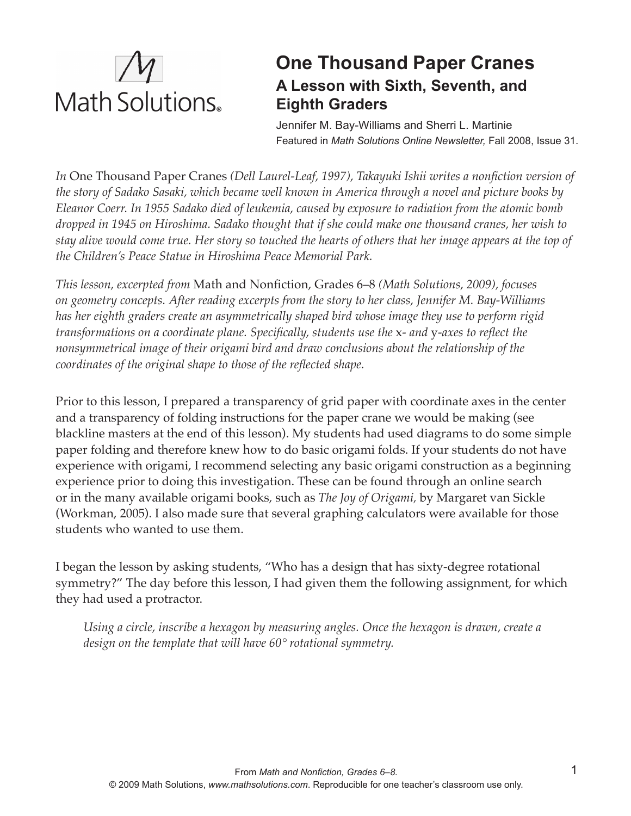# Math Solutions.

### **One Thousand Paper Cranes A Lesson with Sixth, Seventh, and Eighth Graders**

Jennifer M. Bay-Williams and Sherri L. Martinie Featured in *Math Solutions Online Newsletter,* Fall 2008, Issue 31.

*In* One Thousand Paper Cranes *(Dell Laurel-Leaf, 1997), Takayuki Ishii writes a nonfiction version of the story of Sadako Sasaki, which became well known in America through a novel and picture books by Eleanor Coerr. In 1955 Sadako died of leukemia, caused by exposure to radiation from the atomic bomb dropped in 1945 on Hiroshima. Sadako thought that if she could make one thousand cranes, her wish to stay alive would come true. Her story so touched the hearts of others that her image appears at the top of the Children's Peace Statue in Hiroshima Peace Memorial Park.* 

*This lesson, excerpted from* Math and Nonfiction, Grades 6–8 *(Math Solutions, 2009), focuses on geometry concepts. After reading excerpts from the story to her class, Jennifer M. Bay-Williams has her eighth graders create an asymmetrically shaped bird whose image they use to perform rigid transformations on a coordinate plane. Specifically, students use the* x*- and* y*-axes to reflect the nonsymmetrical image of their origami bird and draw conclusions about the relationship of the coordinates of the original shape to those of the reflected shape.* 

Prior to this lesson, I prepared a transparency of grid paper with coordinate axes in the center and a transparency of folding instructions for the paper crane we would be making (see blackline masters at the end of this lesson). My students had used diagrams to do some simple paper folding and therefore knew how to do basic origami folds. If your students do not have experience with origami, I recommend selecting any basic origami construction as a beginning experience prior to doing this investigation. These can be found through an online search or in the many available origami books, such as *The Joy of Origami,* by Margaret van Sickle (Workman, 2005). I also made sure that several graphing calculators were available for those students who wanted to use them.

I began the lesson by asking students, "Who has a design that has sixty-degree rotational symmetry?" The day before this lesson, I had given them the following assignment, for which they had used a protractor.

*Using a circle, inscribe a hexagon by measuring angles. Once the hexagon is drawn, create a design on the template that will have 60° rotational symmetry.*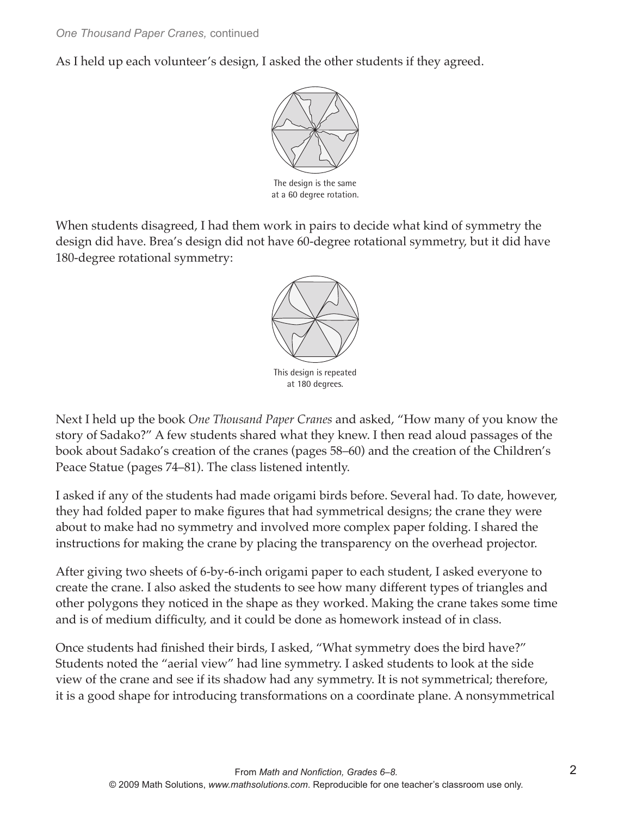As I held up each volunteer's design, I asked the other students if they agreed.



at a 60 degree rotation.

When students disagreed, I had them work in pairs to decide what kind of symmetry the design did have. Brea's design did not have 60-degree rotational symmetry, but it did have 180-degree rotational symmetry:



Next I held up the book *One Thousand Paper Cranes* and asked, "How many of you know the story of Sadako?" A few students shared what they knew. I then read aloud passages of the book about Sadako's creation of the cranes (pages 58–60) and the creation of the Children's Peace Statue (pages 74–81). The class listened intently.

I asked if any of the students had made origami birds before. Several had. To date, however, they had folded paper to make figures that had symmetrical designs; the crane they were about to make had no symmetry and involved more complex paper folding. I shared the instructions for making the crane by placing the transparency on the overhead projector.

After giving two sheets of 6-by-6-inch origami paper to each student, I asked everyone to create the crane. I also asked the students to see how many different types of triangles and other polygons they noticed in the shape as they worked. Making the crane takes some time and is of medium difficulty, and it could be done as homework instead of in class.

Once students had finished their birds, I asked, "What symmetry does the bird have?" Students noted the "aerial view" had line symmetry. I asked students to look at the side view of the crane and see if its shadow had any symmetry. It is not symmetrical; therefore, it is a good shape for introducing transformations on a coordinate plane. A nonsymmetrical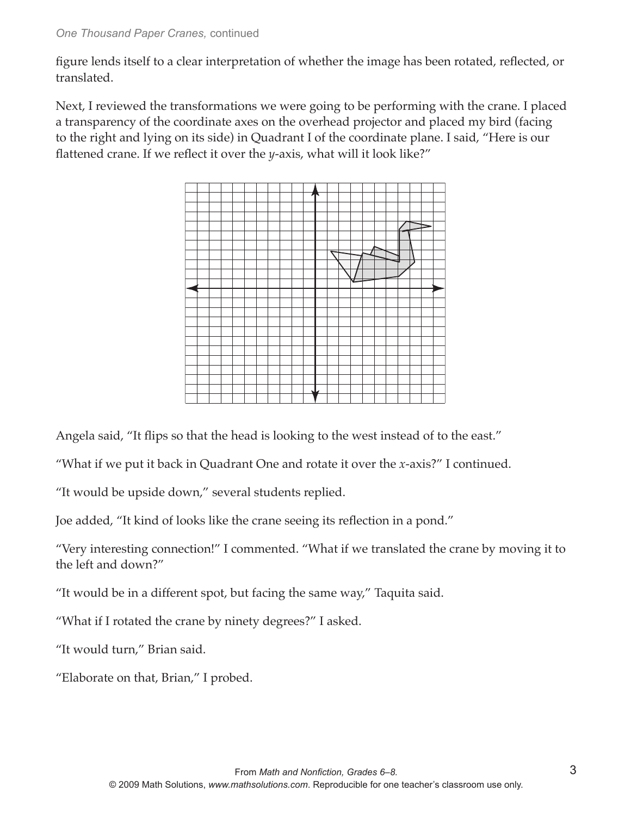figure lends itself to a clear interpretation of whether the image has been rotated, reflected, or translated.

Next, I reviewed the transformations we were going to be performing with the crane. I placed a transparency of the coordinate axes on the overhead projector and placed my bird (facing to the right and lying on its side) in Quadrant I of the coordinate plane. I said, "Here is our flattened crane. If we reflect it over the *y*-axis, what will it look like?"



Angela said, "It flips so that the head is looking to the west instead of to the east."

"What if we put it back in Quadrant One and rotate it over the *x*-axis?" I continued.

"It would be upside down," several students replied.

Joe added, "It kind of looks like the crane seeing its reflection in a pond."

"Very interesting connection!" I commented. "What if we translated the crane by moving it to the left and down?"

"It would be in a different spot, but facing the same way," Taquita said.

"What if I rotated the crane by ninety degrees?" I asked.

"It would turn," Brian said.

"Elaborate on that, Brian," I probed.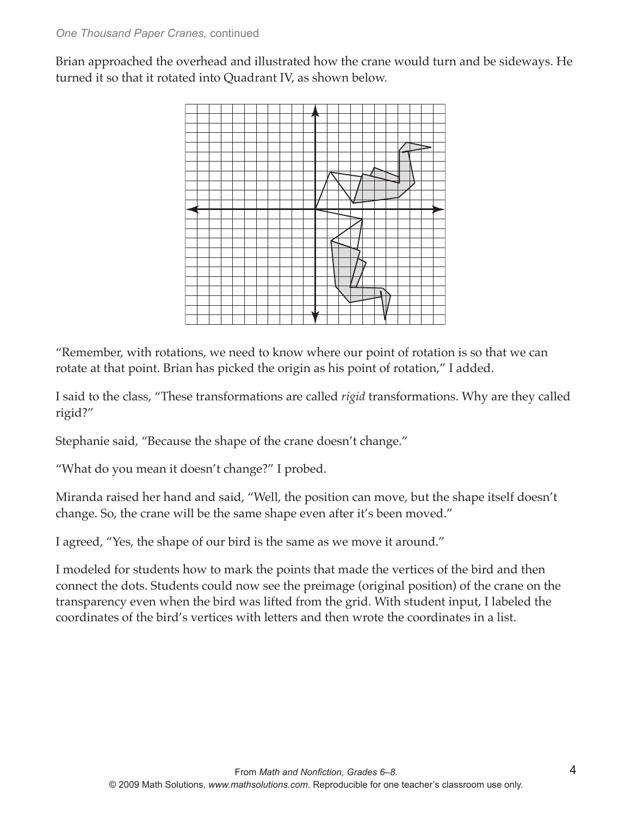Brian approached the overhead and illustrated how the crane would turn and be sideways. He turned it so that it rotated into Quadrant IV, as shown below.



"Remember, with rotations, we need to know where our point of rotation is so that we can rotate at that point. Brian has picked the origin as his point of rotation," I added.

I said to the class, "These transformations are called *rigid* transformations. Why are they called rigid?"

Stephanie said, "Because the shape of the crane doesn't change."

"What do you mean it doesn't change?" I probed.

Miranda raised her hand and said, "Well, the position can move, but the shape itself doesn't change. So, the crane will be the same shape even after it's been moved."

I agreed, "Yes, the shape of our bird is the same as we move it around."

I modeled for students how to mark the points that made the vertices of the bird and then connect the dots. Students could now see the preimage (original position) of the crane on the transparency even when the bird was lifted from the grid. With student input, I labeled the coordinates of the bird's vertices with letters and then wrote the coordinates in a list.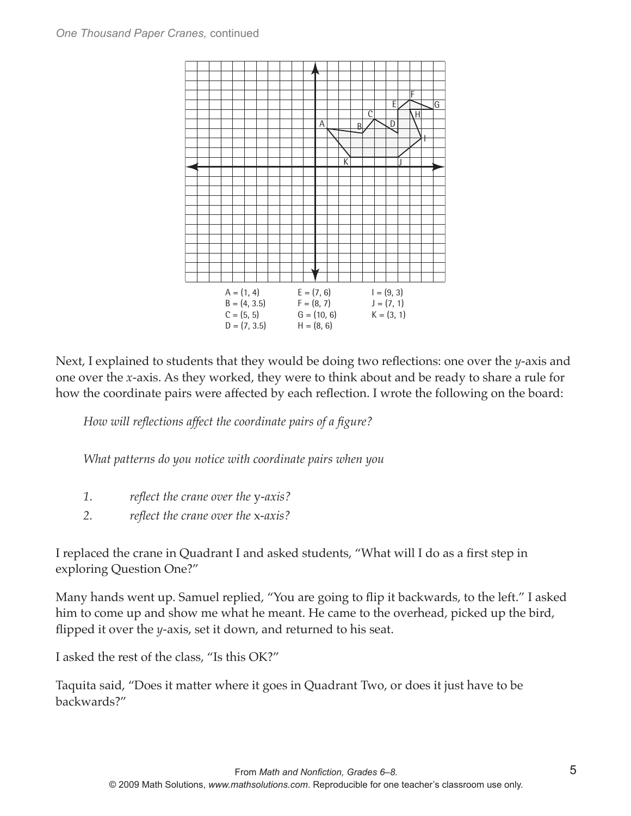

Next, I explained to students that they would be doing two reflections: one over the *y*-axis and one over the *x*-axis. As they worked, they were to think about and be ready to share a rule for how the coordinate pairs were affected by each reflection. I wrote the following on the board:

*How will reflections affect the coordinate pairs of a figure?*

*What patterns do you notice with coordinate pairs when you*

- *1. reflect the crane over the* y*-axis?*
- *2. reflect the crane over the* x*-axis?*

I replaced the crane in Quadrant I and asked students, "What will I do as a first step in exploring Question One?"

Many hands went up. Samuel replied, "You are going to flip it backwards, to the left." I asked him to come up and show me what he meant. He came to the overhead, picked up the bird, flipped it over the *y*-axis, set it down, and returned to his seat.

I asked the rest of the class, "Is this OK?"

Taquita said, "Does it matter where it goes in Quadrant Two, or does it just have to be backwards?"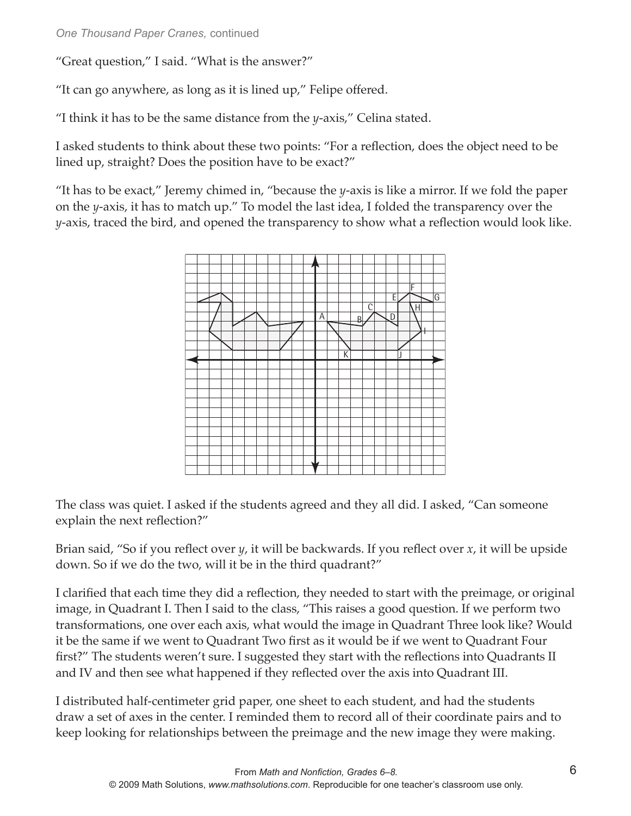"Great question," I said. "What is the answer?"

"It can go anywhere, as long as it is lined up," Felipe offered.

"I think it has to be the same distance from the *y*-axis," Celina stated.

I asked students to think about these two points: "For a reflection, does the object need to be lined up, straight? Does the position have to be exact?"

"It has to be exact," Jeremy chimed in, "because the *y*-axis is like a mirror. If we fold the paper on the *y*-axis, it has to match up." To model the last idea, I folded the transparency over the *y*-axis, traced the bird, and opened the transparency to show what a reflection would look like.



The class was quiet. I asked if the students agreed and they all did. I asked, "Can someone explain the next reflection?"

Brian said, "So if you reflect over *y*, it will be backwards. If you reflect over *x*, it will be upside down. So if we do the two, will it be in the third quadrant?"

I clarified that each time they did a reflection, they needed to start with the preimage, or original image, in Quadrant I. Then I said to the class, "This raises a good question. If we perform two transformations, one over each axis, what would the image in Quadrant Three look like? Would it be the same if we went to Quadrant Two first as it would be if we went to Quadrant Four first?" The students weren't sure. I suggested they start with the reflections into Quadrants II and IV and then see what happened if they reflected over the axis into Quadrant III.

I distributed half-centimeter grid paper, one sheet to each student, and had the students draw a set of axes in the center. I reminded them to record all of their coordinate pairs and to keep looking for relationships between the preimage and the new image they were making.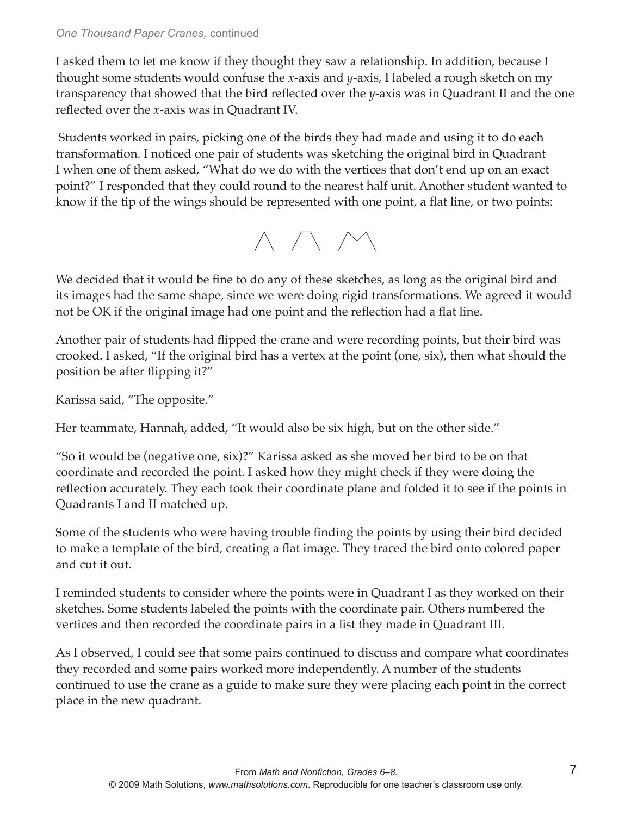I asked them to let me know if they thought they saw a relationship. In addition, because I thought some students would confuse the *x*-axis and *y*-axis, I labeled a rough sketch on my transparency that showed that the bird reflected over the *y*-axis was in Quadrant II and the one reflected over the *x*-axis was in Quadrant IV.

 Students worked in pairs, picking one of the birds they had made and using it to do each transformation. I noticed one pair of students was sketching the original bird in Quadrant I when one of them asked, "What do we do with the vertices that don't end up on an exact point?" I responded that they could round to the nearest half unit. Another student wanted to know if the tip of the wings should be represented with one point, a flat line, or two points:



We decided that it would be fine to do any of these sketches, as long as the original bird and its images had the same shape, since we were doing rigid transformations. We agreed it would not be OK if the original image had one point and the reflection had a flat line.

Another pair of students had flipped the crane and were recording points, but their bird was crooked. I asked, "If the original bird has a vertex at the point (one, six), then what should the position be after flipping it?"

Karissa said, "The opposite."

Her teammate, Hannah, added, "It would also be six high, but on the other side."

"So it would be (negative one, six)?" Karissa asked as she moved her bird to be on that coordinate and recorded the point. I asked how they might check if they were doing the reflection accurately. They each took their coordinate plane and folded it to see if the points in Quadrants I and II matched up.

Some of the students who were having trouble finding the points by using their bird decided to make a template of the bird, creating a flat image. They traced the bird onto colored paper and cut it out.

I reminded students to consider where the points were in Quadrant I as they worked on their sketches. Some students labeled the points with the coordinate pair. Others numbered the vertices and then recorded the coordinate pairs in a list they made in Quadrant III.

As I observed, I could see that some pairs continued to discuss and compare what coordinates they recorded and some pairs worked more independently. A number of the students continued to use the crane as a guide to make sure they were placing each point in the correct place in the new quadrant.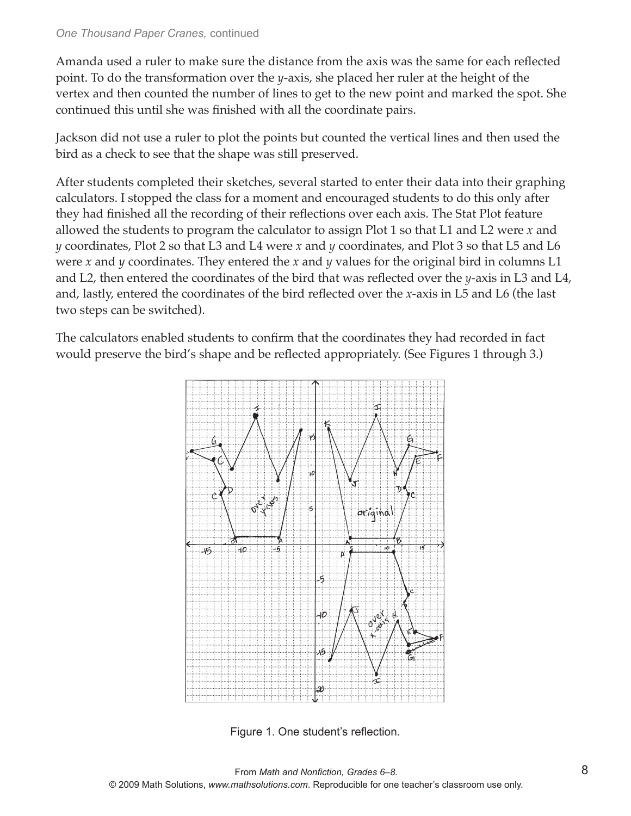Amanda used a ruler to make sure the distance from the axis was the same for each reflected point. To do the transformation over the *y*-axis, she placed her ruler at the height of the vertex and then counted the number of lines to get to the new point and marked the spot. She continued this until she was finished with all the coordinate pairs.

Jackson did not use a ruler to plot the points but counted the vertical lines and then used the bird as a check to see that the shape was still preserved.

After students completed their sketches, several started to enter their data into their graphing calculators. I stopped the class for a moment and encouraged students to do this only after they had finished all the recording of their reflections over each axis. The Stat Plot feature allowed the students to program the calculator to assign Plot 1 so that L1 and L2 were *x* and *y* coordinates, Plot 2 so that L3 and L4 were *x* and *y* coordinates, and Plot 3 so that L5 and L6 were *x* and *y* coordinates. They entered the *x* and *y* values for the original bird in columns L1 and L2, then entered the coordinates of the bird that was reflected over the *y*-axis in L3 and L4, and, lastly, entered the coordinates of the bird reflected over the *x*-axis in L5 and L6 (the last two steps can be switched).

The calculators enabled students to confirm that the coordinates they had recorded in fact would preserve the bird's shape and be reflected appropriately. (See Figures 1 through 3.)



Figure 1. One student's reflection.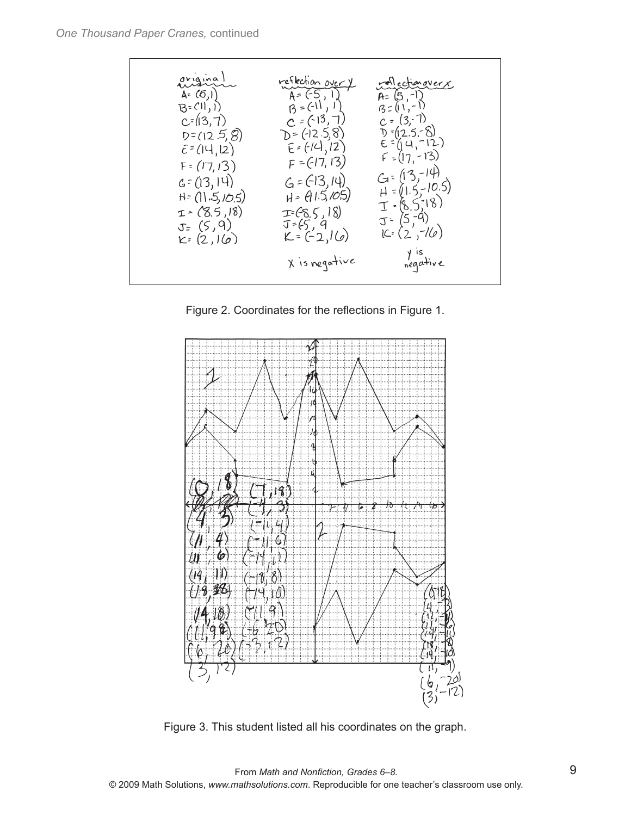

Figure 2. Coordinates for the reflections in Figure 1.



Figure 3. This student listed all his coordinates on the graph.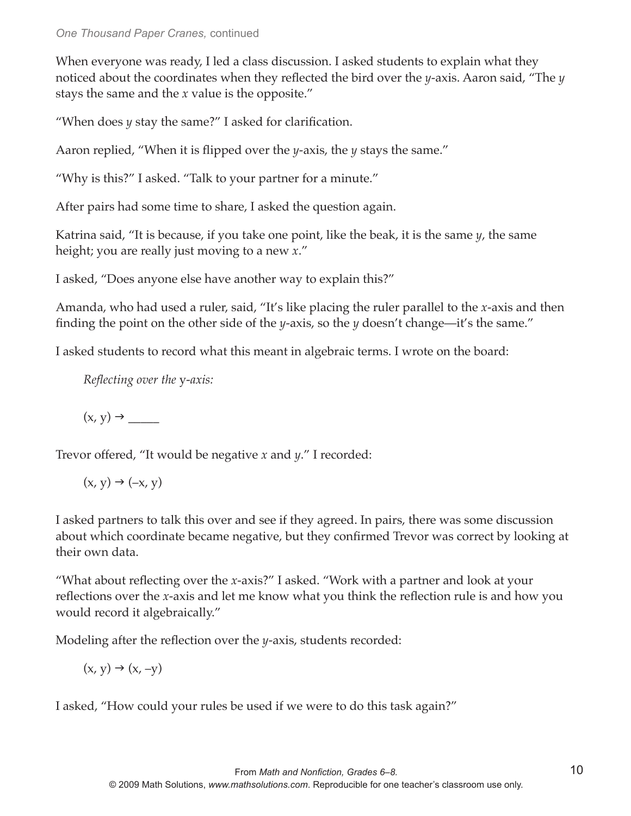When everyone was ready, I led a class discussion. I asked students to explain what they noticed about the coordinates when they reflected the bird over the *y*-axis. Aaron said, "The *y* stays the same and the *x* value is the opposite."

"When does *y* stay the same?" I asked for clarification.

Aaron replied, "When it is flipped over the *y*-axis, the *y* stays the same."

"Why is this?" I asked. "Talk to your partner for a minute."

After pairs had some time to share, I asked the question again.

Katrina said, "It is because, if you take one point, like the beak, it is the same *y*, the same height; you are really just moving to a new *x*."

I asked, "Does anyone else have another way to explain this?"

Amanda, who had used a ruler, said, "It's like placing the ruler parallel to the *x*-axis and then finding the point on the other side of the *y*-axis, so the *y* doesn't change—it's the same."

I asked students to record what this meant in algebraic terms. I wrote on the board:

*Reflecting over the* y*-axis:*

(x, y) g \_\_\_\_\_

Trevor offered, "It would be negative *x* and *y*." I recorded:

 $(x, y) \rightarrow (-x, y)$ 

I asked partners to talk this over and see if they agreed. In pairs, there was some discussion about which coordinate became negative, but they confirmed Trevor was correct by looking at their own data.

"What about reflecting over the *x*-axis?" I asked. "Work with a partner and look at your reflections over the *x*-axis and let me know what you think the reflection rule is and how you would record it algebraically."

Modeling after the reflection over the *y*-axis, students recorded:

 $(\mathsf{x}, \, \mathsf{y}) \rightarrow (\mathsf{x}, \, \mathsf{-y})$ 

I asked, "How could your rules be used if we were to do this task again?"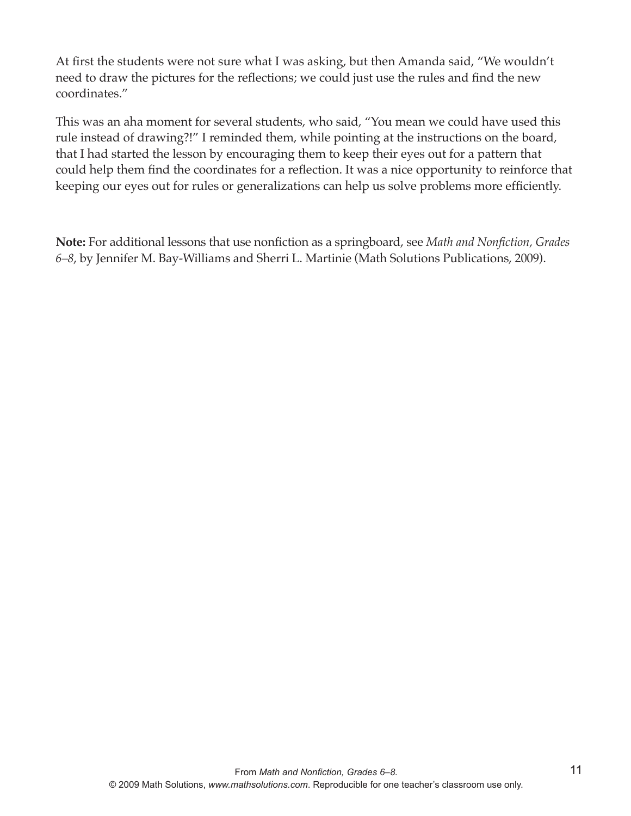At first the students were not sure what I was asking, but then Amanda said, "We wouldn't need to draw the pictures for the reflections; we could just use the rules and find the new coordinates."

This was an aha moment for several students, who said, "You mean we could have used this rule instead of drawing?!" I reminded them, while pointing at the instructions on the board, that I had started the lesson by encouraging them to keep their eyes out for a pattern that could help them find the coordinates for a reflection. It was a nice opportunity to reinforce that keeping our eyes out for rules or generalizations can help us solve problems more efficiently.

**Note:** For additional lessons that use nonfiction as a springboard, see *Math and Nonfiction, Grades 6–8*, by Jennifer M. Bay-Williams and Sherri L. Martinie (Math Solutions Publications, 2009).